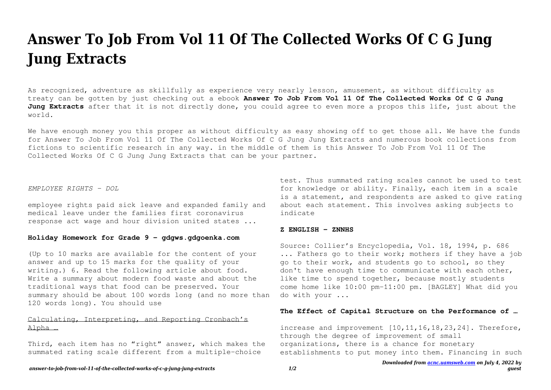# **Answer To Job From Vol 11 Of The Collected Works Of C G Jung Jung Extracts**

As recognized, adventure as skillfully as experience very nearly lesson, amusement, as without difficulty as treaty can be gotten by just checking out a ebook **Answer To Job From Vol 11 Of The Collected Works Of C G Jung Jung Extracts** after that it is not directly done, you could agree to even more a propos this life, just about the world.

We have enough money you this proper as without difficulty as easy showing off to get those all. We have the funds for Answer To Job From Vol 11 Of The Collected Works Of C G Jung Jung Extracts and numerous book collections from fictions to scientific research in any way. in the middle of them is this Answer To Job From Vol 11 Of The Collected Works Of C G Jung Jung Extracts that can be your partner.

#### *EMPLOYEE RIGHTS - DOL*

employee rights paid sick leave and expanded family and medical leave under the families first coronavirus response act wage and hour division united states ...

## **Holiday Homework for Grade 9 - gdgws.gdgoenka.com**

(Up to 10 marks are available for the content of your answer and up to 15 marks for the quality of your writing.) 6. Read the following article about food. Write a summary about modern food waste and about the traditional ways that food can be preserved. Your summary should be about 100 words long (and no more than 120 words long). You should use

# Calculating, Interpreting, and Reporting Cronbach's Alpha …

Third, each item has no "right" answer, which makes the summated rating scale different from a multiple-choice

test. Thus summated rating scales cannot be used to test for knowledge or ability. Finally, each item in a scale is a statement, and respondents are asked to give rating about each statement. This involves asking subjects to indicate

#### **Z ENGLISH - ZNNHS**

Source: Collier's Encyclopedia, Vol. 18, 1994, p. 686 ... Fathers go to their work; mothers if they have a job go to their work, and students go to school, so they don't have enough time to communicate with each other, like time to spend together, because mostly students come home like 10:00 pm-11:00 pm. [BAGLEY] What did you do with your ...

## **The Effect of Capital Structure on the Performance of …**

increase and improvement  $[10,11,16,18,23,24]$ . Therefore, through the degree of improvement of small organizations, there is a chance for monetary establishments to put money into them. Financing in such